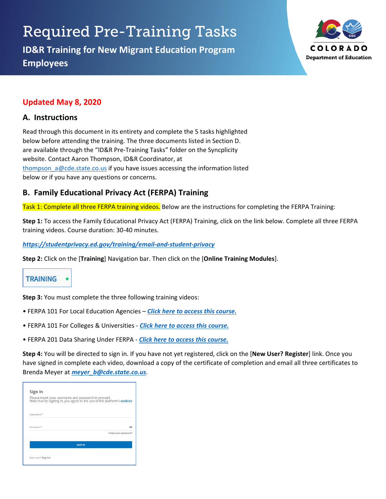# Required Pre-Training Tasks

**ID&R Training for New Migrant Education Program Employees**



# **Updated May 8, 2020**

#### **A. Instructions**

Read through this document in its entirety and complete the 5 tasks highlighted below before attending the training. The three documents listed in Section D. are available through the "ID&R Pre-Training Tasks" folder on the Syncplicity website. Contact Aaron Thompson, ID&R Coordinator, at [thompson\\_a@cde.state.co.us](mailto:thompson_a@cde.state.co.us) if you have issues accessing the information listed below or if you have any questions or concerns.

# **B. Family Educational Privacy Act (FERPA) Training**

Task 1: Complete all three FERPA training videos. Below are the instructions for completing the FERPA Training:

**Step 1:** To access the Family Educational Privacy Act (FERPA) Training, click on the link below. Complete all three FERPA training videos. Course duration: 30-40 minutes.

*<https://studentprivacy.ed.gov/training/email-and-student-privacy>*

**Step 2:** Click on the [**Training**] Navigation bar. Then click on the [**Online Training Modules**].



**Step 3:** You must complete the three following training videos:

- FERPA 101 For Local Education Agencies *[Click here to access this course.](https://compliancelearning.thomsonreuters.com/usdoed)*
- FERPA 101 For Colleges & Universities *[Click here to access this course.](https://compliancelearning.thomsonreuters.com/usdoed)*
- FERPA 201 Data Sharing Under FERPA *[Click here to access this course.](https://compliancelearning.thomsonreuters.com/usdoed)*

**Step 4:** You will be directed to sign in. If you have not yet registered, click on the [**New User? Register**] link. Once you have signed in complete each video, download a copy of the certificate of completion and email all three certificates to Brenda Meyer at *[meyer\\_b@cde.state.co.us](mailto:meyer_b@cde.state.co.us)*.

|                       | Please insert your username and password to proceed<br>Note that by signing in, you agree to the use of the platform's cookies |
|-----------------------|--------------------------------------------------------------------------------------------------------------------------------|
| Username <sup>*</sup> |                                                                                                                                |
| Password *            | ∞<br>Forgot your password?                                                                                                     |
|                       | <b>SIGN IN</b>                                                                                                                 |